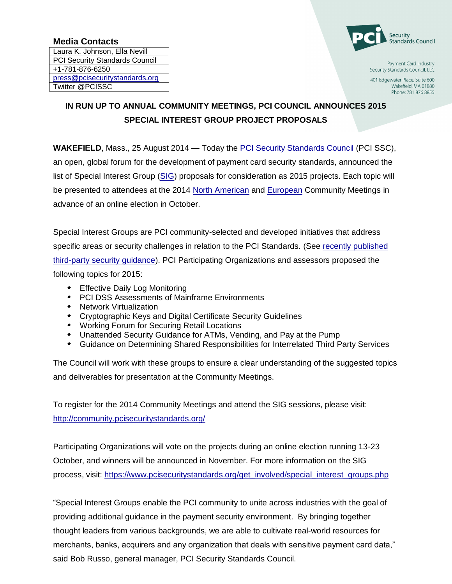## **Media Contacts**

Laura K. Johnson, Ella Nevill PCI Security Standards Council +1-781-876-6250 [press@pcisecuritystandards.org](mailto:press@pcisecuritystandards.org) Twitter @PCISSC



Payment Card Industry Security Standards Council, LLC

401 Edgewater Place, Suite 600 Wakefield, MA 01880 Phone: 781 876 8855

## **IN RUN UP TO ANNUAL COMMUNITY MEETINGS, PCI COUNCIL ANNOUNCES 2015 SPECIAL INTEREST GROUP PROJECT PROPOSALS**

**WAKEFIELD**, Mass., 25 August 2014 — Today the **PCI Security Standards Council (PCI SSC)**, an open, global forum for the development of payment card security standards, announced the list of Special Interest Group [\(SIG\)](https://www.pcisecuritystandards.org/get_involved/special_interest_groups.php) proposals for consideration as 2015 projects. Each topic will be presented to attendees at the 2014 [North American](http://community.pcisecuritystandards.org/2014/) and [European](http://community.pcisecuritystandards.org/2014/europe/) Community Meetings in advance of an online election in October.

Special Interest Groups are PCI community-selected and developed initiatives that address specific areas or security challenges in relation to the PCI Standards. (See recently published [third-party security guidance\)](https://www.pcisecuritystandards.org/pdfs/14_08_07_Third-Party_Security_Assurance_SIG_Guidance_Press_Release.pdf). PCI Participating Organizations and assessors proposed the following topics for 2015:

- **Effective Daily Log Monitoring**
- PCI DSS Assessments of Mainframe Environments
- **\*** Network Virtualization
- Cryptographic Keys and Digital Certificate Security Guidelines
- Working Forum for Securing Retail Locations
- Unattended Security Guidance for ATMs, Vending, and Pay at the Pump
- Guidance on Determining Shared Responsibilities for Interrelated Third Party Services

The Council will work with these groups to ensure a clear understanding of the suggested topics and deliverables for presentation at the Community Meetings.

To register for the 2014 Community Meetings and attend the SIG sessions, please visit: <http://community.pcisecuritystandards.org/>

Participating Organizations will vote on the projects during an online election running 13-23 October, and winners will be announced in November. For more information on the SIG process, visit: [https://www.pcisecuritystandards.org/get\\_involved/special\\_interest\\_groups.php](https://www.pcisecuritystandards.org/get_involved/special_interest_groups.php)

"Special Interest Groups enable the PCI community to unite across industries with the goal of providing additional guidance in the payment security environment. By bringing together thought leaders from various backgrounds, we are able to cultivate real-world resources for merchants, banks, acquirers and any organization that deals with sensitive payment card data," said Bob Russo, general manager, PCI Security Standards Council.